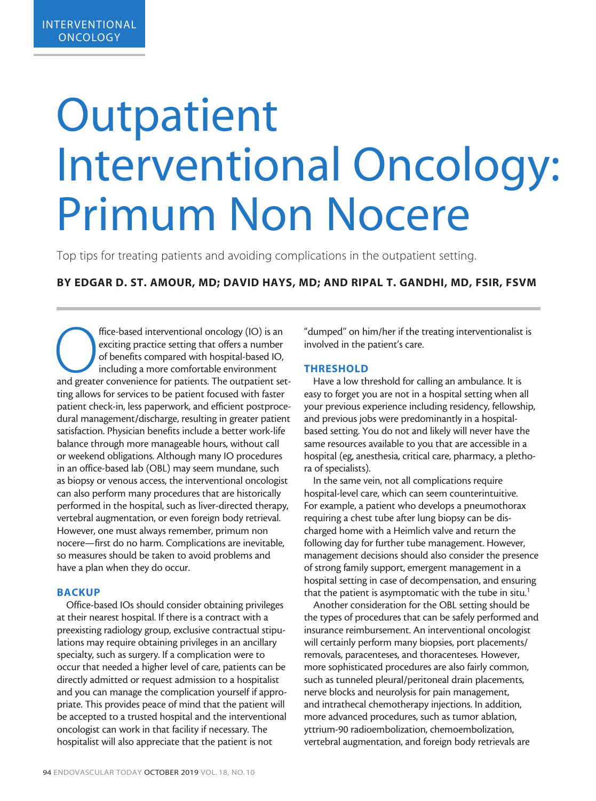# **Outpatient** Interventional Oncology: Primum Non Nocere

Top tips for treating patients and avoiding complications in the outpatient setting.

# BY EDGAR D. ST. AMOUR, MD; DAVID HAYS, MD; AND RIPAL T. GANDHI, MD, FSIR, FSVM

ffice-based interventional oncology (IO) is an exciting practice setting that offers a number of benefits compared with hospital-based IO, including a more comfortable environment and greater convenience for patients. The exciting practice setting that offers a number of benefits compared with hospital-based IO, including a more comfortable environment ting allows for services to be patient focused with faster patient check-in, less paperwork, and efficient postprocedural management/discharge, resulting in greater patient satisfaction. Physician benefits include a better work-life balance through more manageable hours, without call or weekend obligations. Although many IO procedures in an office-based lab (OBL) may seem mundane, such as biopsy or venous access, the interventional oncologist can also perform many procedures that are historically performed in the hospital, such as liver-directed therapy, vertebral augmentation, or even foreign body retrieval. However, one must always remember, primum non nocere—first do no harm. Complications are inevitable, so measures should be taken to avoid problems and have a plan when they do occur.

### **BACKUP**

Office-based IOs should consider obtaining privileges at their nearest hospital. If there is a contract with a preexisting radiology group, exclusive contractual stipulations may require obtaining privileges in an ancillary specialty, such as surgery. If a complication were to occur that needed a higher level of care, patients can be directly admitted or request admission to a hospitalist and you can manage the complication yourself if appropriate. This provides peace of mind that the patient will be accepted to a trusted hospital and the interventional oncologist can work in that facility if necessary. The hospitalist will also appreciate that the patient is not

"dumped" on him/her if the treating interventionalist is involved in the patient's care.

### THRESHOLD

Have a low threshold for calling an ambulance. It is easy to forget you are not in a hospital setting when all your previous experience including residency, fellowship, and previous jobs were predominantly in a hospitalbased setting. You do not and likely will never have the same resources available to you that are accessible in a hospital (eg, anesthesia, critical care, pharmacy, a plethora of specialists).

In the same vein, not all complications require hospital-level care, which can seem counterintuitive. For example, a patient who develops a pneumothorax requiring a chest tube after lung biopsy can be discharged home with a Heimlich valve and return the following day for further tube management. However, management decisions should also consider the presence of strong family support, emergent management in a hospital setting in case of decompensation, and ensuring that the patient is asymptomatic with the tube in situ.<sup>1</sup>

Another consideration for the OBL setting should be the types of procedures that can be safely performed and insurance reimbursement. An interventional oncologist will certainly perform many biopsies, port placements/ removals, paracenteses, and thoracenteses. However, more sophisticated procedures are also fairly common, such as tunneled pleural/peritoneal drain placements, nerve blocks and neurolysis for pain management, and intrathecal chemotherapy injections. In addition, more advanced procedures, such as tumor ablation, yttrium-90 radioembolization, chemoembolization, vertebral augmentation, and foreign body retrievals are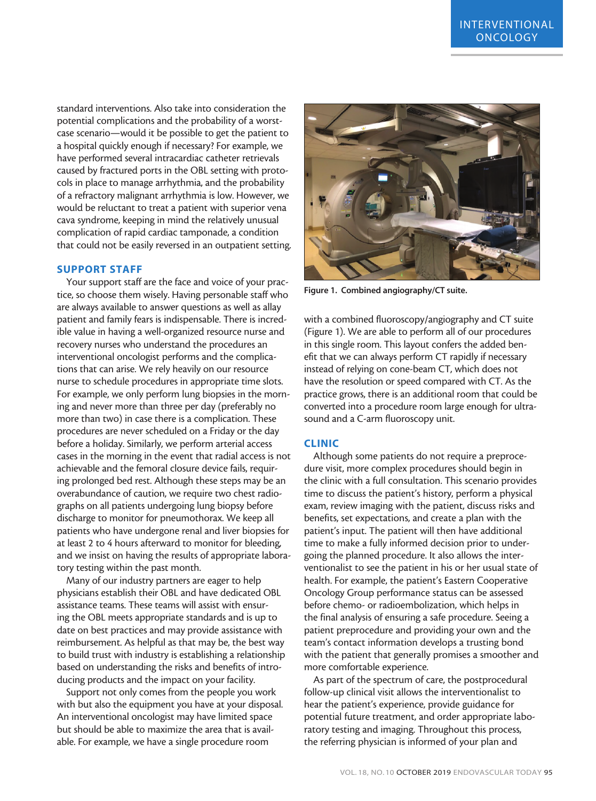standard interventions. Also take into consideration the potential complications and the probability of a worstcase scenario—would it be possible to get the patient to a hospital quickly enough if necessary? For example, we have performed several intracardiac catheter retrievals caused by fractured ports in the OBL setting with protocols in place to manage arrhythmia, and the probability of a refractory malignant arrhythmia is low. However, we would be reluctant to treat a patient with superior vena cava syndrome, keeping in mind the relatively unusual complication of rapid cardiac tamponade, a condition that could not be easily reversed in an outpatient setting.

# SUPPORT STAFF

Your support staff are the face and voice of your practice, so choose them wisely. Having personable staff who are always available to answer questions as well as allay patient and family fears is indispensable. There is incredible value in having a well-organized resource nurse and recovery nurses who understand the procedures an interventional oncologist performs and the complications that can arise. We rely heavily on our resource nurse to schedule procedures in appropriate time slots. For example, we only perform lung biopsies in the morning and never more than three per day (preferably no more than two) in case there is a complication. These procedures are never scheduled on a Friday or the day before a holiday. Similarly, we perform arterial access cases in the morning in the event that radial access is not achievable and the femoral closure device fails, requiring prolonged bed rest. Although these steps may be an overabundance of caution, we require two chest radiographs on all patients undergoing lung biopsy before discharge to monitor for pneumothorax. We keep all patients who have undergone renal and liver biopsies for at least 2 to 4 hours afterward to monitor for bleeding, and we insist on having the results of appropriate laboratory testing within the past month.

Many of our industry partners are eager to help physicians establish their OBL and have dedicated OBL assistance teams. These teams will assist with ensuring the OBL meets appropriate standards and is up to date on best practices and may provide assistance with reimbursement. As helpful as that may be, the best way to build trust with industry is establishing a relationship based on understanding the risks and benefits of introducing products and the impact on your facility.

Support not only comes from the people you work with but also the equipment you have at your disposal. An interventional oncologist may have limited space but should be able to maximize the area that is available. For example, we have a single procedure room



Figure 1. Combined angiography/CT suite.

with a combined fluoroscopy/angiography and CT suite (Figure 1). We are able to perform all of our procedures in this single room. This layout confers the added benefit that we can always perform CT rapidly if necessary instead of relying on cone-beam CT, which does not have the resolution or speed compared with CT. As the practice grows, there is an additional room that could be converted into a procedure room large enough for ultrasound and a C-arm fluoroscopy unit.

### CLINIC

Although some patients do not require a preprocedure visit, more complex procedures should begin in the clinic with a full consultation. This scenario provides time to discuss the patient's history, perform a physical exam, review imaging with the patient, discuss risks and benefits, set expectations, and create a plan with the patient's input. The patient will then have additional time to make a fully informed decision prior to undergoing the planned procedure. It also allows the interventionalist to see the patient in his or her usual state of health. For example, the patient's Eastern Cooperative Oncology Group performance status can be assessed before chemo- or radioembolization, which helps in the final analysis of ensuring a safe procedure. Seeing a patient preprocedure and providing your own and the team's contact information develops a trusting bond with the patient that generally promises a smoother and more comfortable experience.

As part of the spectrum of care, the postprocedural follow-up clinical visit allows the interventionalist to hear the patient's experience, provide guidance for potential future treatment, and order appropriate laboratory testing and imaging. Throughout this process, the referring physician is informed of your plan and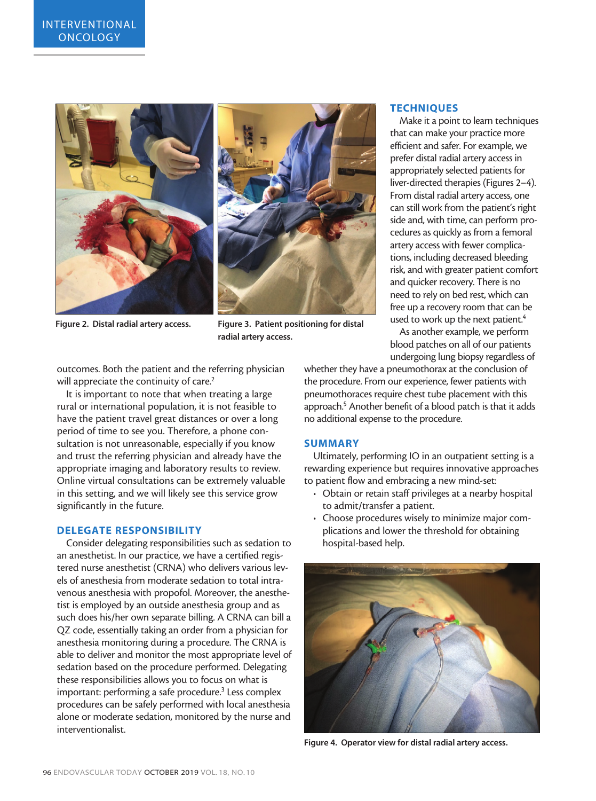



Figure 2. Distal radial artery access. Figure 3. Patient positioning for distal radial artery access.

outcomes. Both the patient and the referring physician will appreciate the continuity of care.<sup>2</sup>

It is important to note that when treating a large rural or international population, it is not feasible to have the patient travel great distances or over a long period of time to see you. Therefore, a phone consultation is not unreasonable, especially if you know and trust the referring physician and already have the appropriate imaging and laboratory results to review. Online virtual consultations can be extremely valuable in this setting, and we will likely see this service grow significantly in the future.

## DELEGATE RESPONSIBILITY

Consider delegating responsibilities such as sedation to an anesthetist. In our practice, we have a certified registered nurse anesthetist (CRNA) who delivers various levels of anesthesia from moderate sedation to total intravenous anesthesia with propofol. Moreover, the anesthetist is employed by an outside anesthesia group and as such does his/her own separate billing. A CRNA can bill a QZ code, essentially taking an order from a physician for anesthesia monitoring during a procedure. The CRNA is able to deliver and monitor the most appropriate level of sedation based on the procedure performed. Delegating these responsibilities allows you to focus on what is important: performing a safe procedure.<sup>3</sup> Less complex procedures can be safely performed with local anesthesia alone or moderate sedation, monitored by the nurse and interventionalist.

### **TECHNIQUES**

Make it a point to learn techniques that can make your practice more efficient and safer. For example, we prefer distal radial artery access in appropriately selected patients for liver-directed therapies (Figures 2–4). From distal radial artery access, one can still work from the patient's right side and, with time, can perform procedures as quickly as from a femoral artery access with fewer complications, including decreased bleeding risk, and with greater patient comfort and quicker recovery. There is no need to rely on bed rest, which can free up a recovery room that can be used to work up the next patient.<sup>4</sup>

As another example, we perform blood patches on all of our patients undergoing lung biopsy regardless of

whether they have a pneumothorax at the conclusion of the procedure. From our experience, fewer patients with pneumothoraces require chest tube placement with this approach.<sup>5</sup> Another benefit of a blood patch is that it adds no additional expense to the procedure.

#### SUMMARY

Ultimately, performing IO in an outpatient setting is a rewarding experience but requires innovative approaches to patient flow and embracing a new mind-set:

- Obtain or retain staff privileges at a nearby hospital to admit/transfer a patient.
- Choose procedures wisely to minimize major complications and lower the threshold for obtaining hospital-based help.



Figure 4. Operator view for distal radial artery access.